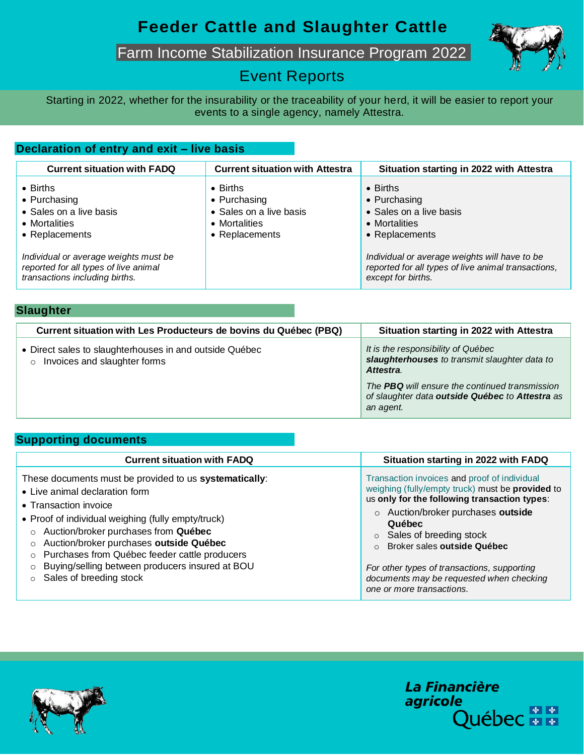## **Feeder Cattle and Slaughter Cattle**

Farm Income Stabilization Insurance Program 2022



### Event Reports

Starting in 2022, whether for the insurability or the traceability of your herd, it will be easier to report your events to a single agency, namely Attestra.

#### **Declaration of entry and exit – live basis**

| <b>Current situation with FADQ</b>                                                                               | <b>Current situation with Attestra</b>                                                         | Situation starting in 2022 with Attestra                                                                                   |
|------------------------------------------------------------------------------------------------------------------|------------------------------------------------------------------------------------------------|----------------------------------------------------------------------------------------------------------------------------|
| $\bullet$ Births<br>• Purchasing<br>• Sales on a live basis<br>• Mortalities<br>• Replacements                   | $\bullet$ Births<br>• Purchasing<br>• Sales on a live basis<br>• Mortalities<br>• Replacements | $\bullet$ Births<br>• Purchasing<br>• Sales on a live basis<br>• Mortalities<br>• Replacements                             |
| Individual or average weights must be<br>reported for all types of live animal<br>transactions including births. |                                                                                                | Individual or average weights will have to be<br>reported for all types of live animal transactions,<br>except for births. |

| <b>Slaughter</b>                                                                                   |                                                                                                                |  |
|----------------------------------------------------------------------------------------------------|----------------------------------------------------------------------------------------------------------------|--|
| Current situation with Les Producteurs de bovins du Québec (PBQ)                                   | Situation starting in 2022 with Attestra                                                                       |  |
| • Direct sales to slaughterhouses in and outside Québec<br>Invoices and slaughter forms<br>$\circ$ | It is the responsibility of Québec<br>slaughterhouses to transmit slaughter data to<br>Attestra.               |  |
|                                                                                                    | The PBQ will ensure the continued transmission<br>of slaughter data outside Québec to Attestra as<br>an agent. |  |

#### **Supporting documents**

| <b>Current situation with FADQ</b>                                                                                                                                                                                                                                                                                                                                                        | Situation starting in 2022 with FADQ                                                                                                                                                                                                                                                                                                                                                                 |
|-------------------------------------------------------------------------------------------------------------------------------------------------------------------------------------------------------------------------------------------------------------------------------------------------------------------------------------------------------------------------------------------|------------------------------------------------------------------------------------------------------------------------------------------------------------------------------------------------------------------------------------------------------------------------------------------------------------------------------------------------------------------------------------------------------|
| These documents must be provided to us systematically:<br>• Live animal declaration form<br>• Transaction invoice<br>• Proof of individual weighing (fully empty/truck)<br>Auction/broker purchases from Québec<br>Auction/broker purchases outside Québec<br>Purchases from Québec feeder cattle producers<br>Buying/selling between producers insured at BOU<br>Sales of breeding stock | Transaction invoices and proof of individual<br>weighing (fully/empty truck) must be provided to<br>us only for the following transaction types:<br>o Auction/broker purchases outside<br>Québec<br>$\circ$ Sales of breeding stock<br>Broker sales outside Québec<br>$\cap$<br>For other types of transactions, supporting<br>documents may be requested when checking<br>one or more transactions. |



La Financière agricole Québec **Ma**